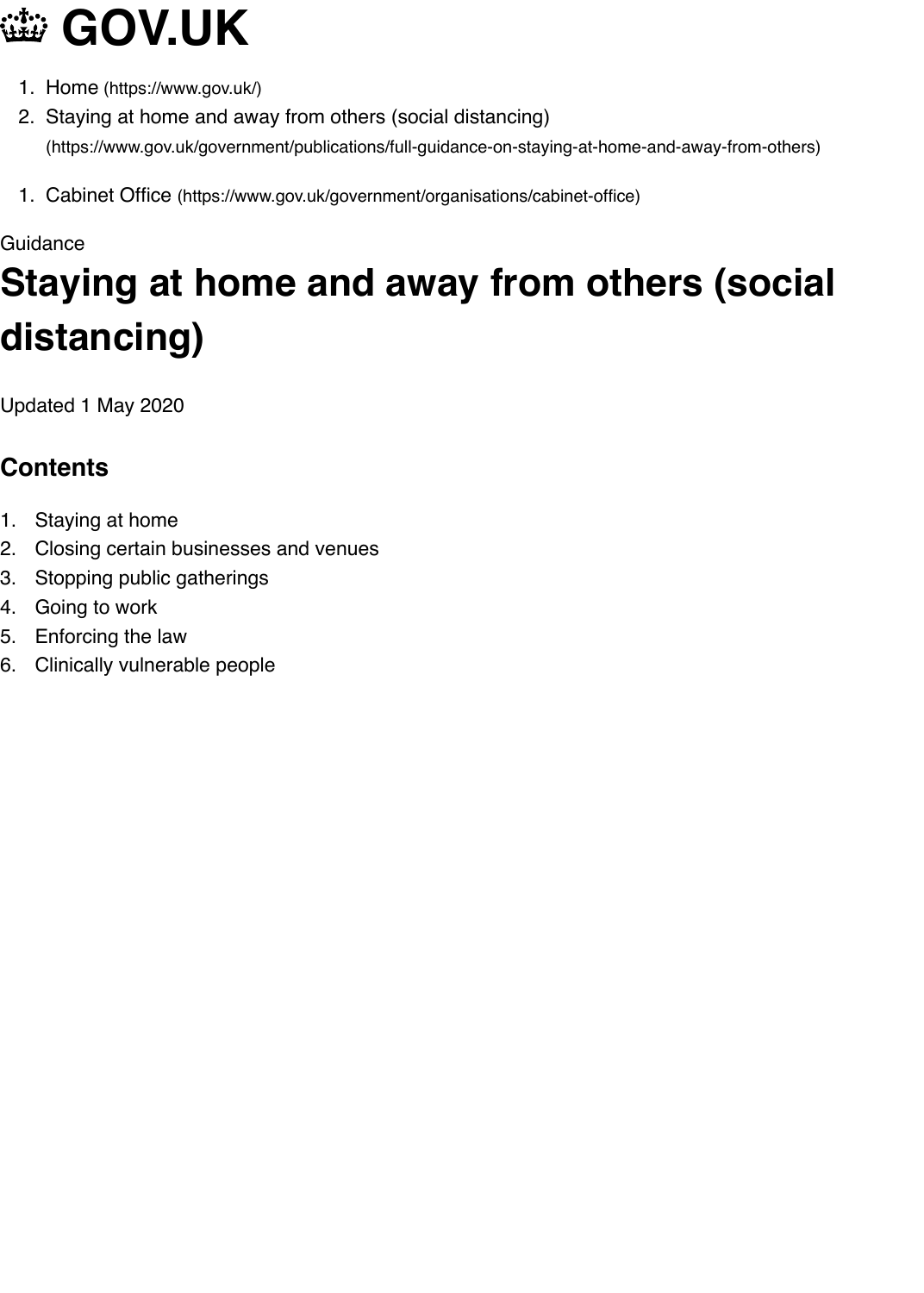#### Guidance

# **[Staying at hom](https://www.gov.uk/)e and away from others (socially di[stancing\)](https://www.gov.uk/)**

Updated 1 May 2020

## **Contents**

- 1. Staying at home
- 2. Closing certain businesses and venues
- 3. Stopping public gatherings
- 4. Going to work
- 5. Enforcing the law
- 6. Clinically vulnerable people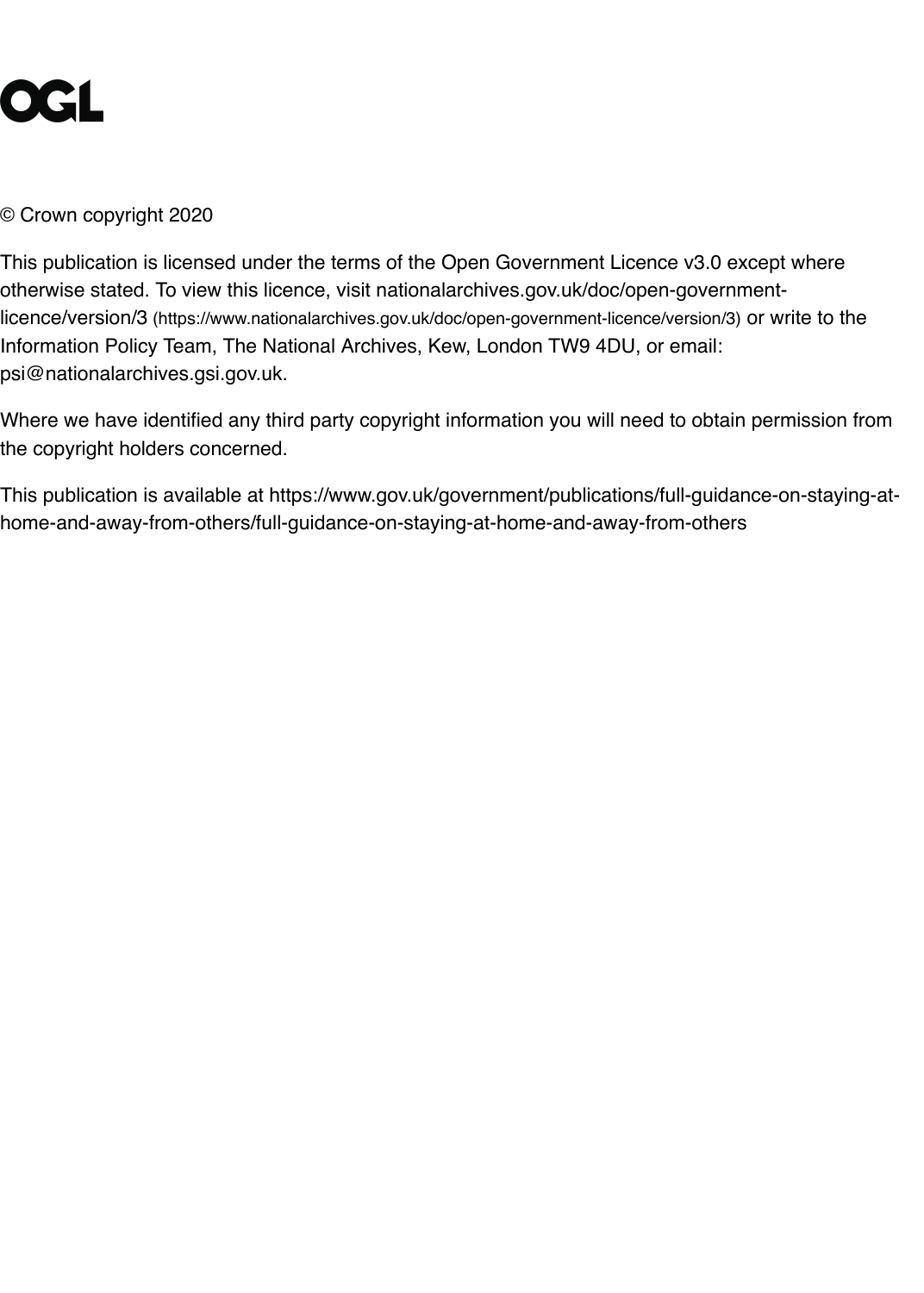This publication is licensed under the terms of the Open Government Licence v3.0 except wl otherwise stated. To view this licence, visit nationalarchives.gov.uk/doc/open-governmentlicence/version/3 (https://www.nationalarchives.gov.uk/doc/open-government-licence/version/3) or write Information Policy Team, The National Archives, Kew, London TW9 4DU, or email: psi@nationalarchives.gsi.gov.uk.

Where we have identified any third party copyright information you will need to obtain permis the copyright holders concerned.

This publication is available at https://www.gov.uk/government/publications/full-guidance-on[home-and-away-from-others/full-guidance-on-staying-at-home-and-away-from-others](https://www.nationalarchives.gov.uk/doc/open-government-licence/version/3)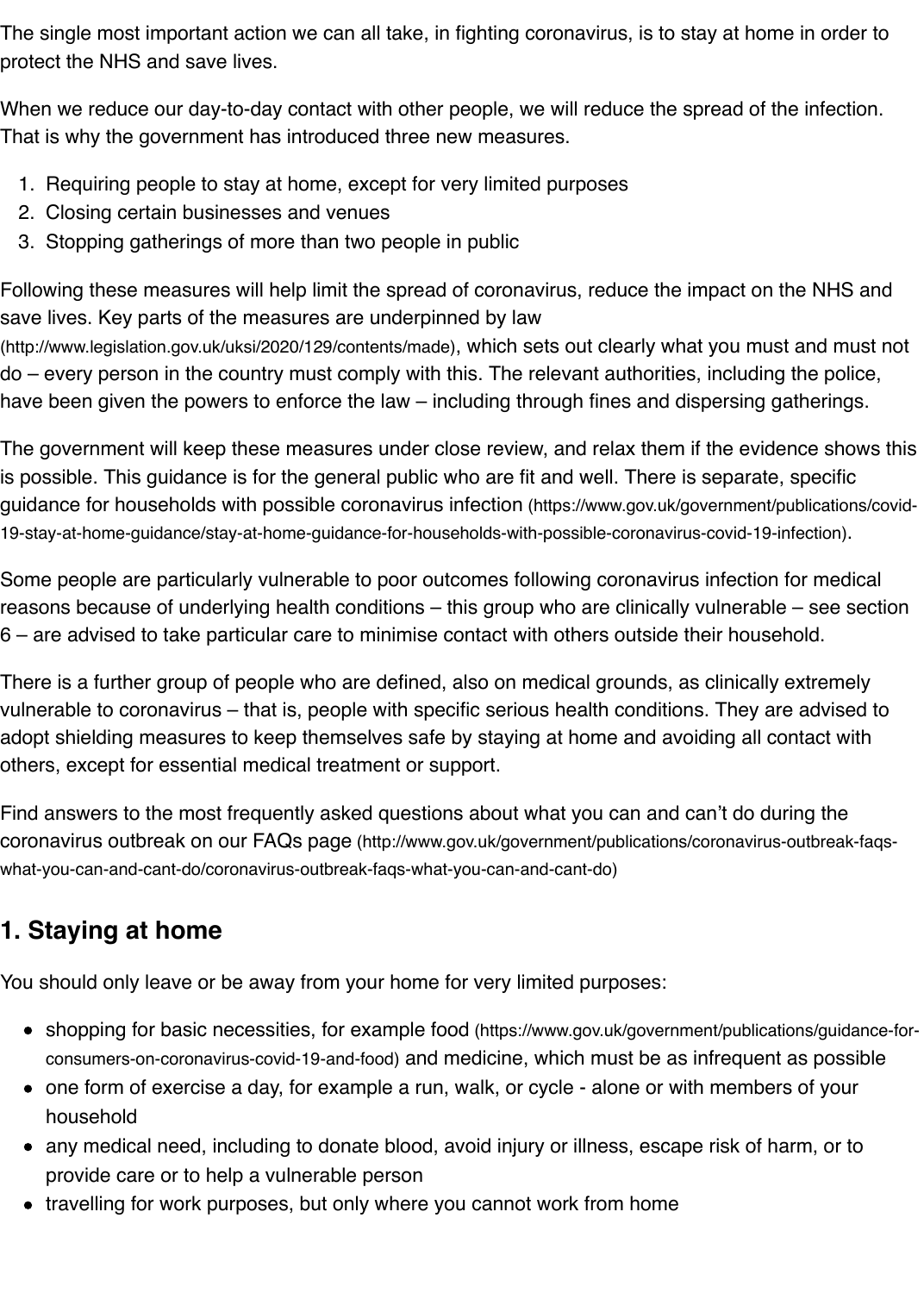3. Stopping gatherings of more than two people in public

Following these measures will help limit the spread of coronavirus, reduce the impact on the save lives. Key parts of the measures are underpinned by law

(http://www.legislation.gov.uk/uksi/2020/129/contents/made), which sets out clearly what you must an do – every person in the country must comply with this. The relevant authorities, including the have been given the powers to enforce the law – including through fines and dispersing gath

The government will keep these measures under close review, and relax them if the evidenc is possible. This guidance is for the general public who are fit and well. There is separate, sp guidance for households with possible coronavirus infection (https://www.gov.uk/government/publ 19-stay-at-home-guidance/stay-at-home-guidance-for-households-with-possible-coronavirus-covid-19-infed

[Some people are particularly vulnerable to poor outcomes follo](http://www.legislation.gov.uk/uksi/2020/129/contents/made)wing coronavirus infection for reasons because of underlying health conditions – this group who are clinically vulnerable – 6 – are advised to take particular care to minimise contact with others outside their househol

There is a further group of people who are defined, also on medical grounds, as clinically ext vulnerable to coronavirus – that is, people with specific serious health conditions. They are a adopt shielding measures to keep themselves safe by staying at home and avoiding all conta others, except for essential medical treatment or support.

Find answers to the most frequently asked questions about what you can and can't do during coronavirus outbreak on our FAQs page (http://www.gov.uk/government/publications/coronavirus-out what-you-can-and-cant-do/coronavirus-outbreak-faqs-what-you-can-and-cant-do)

#### **1. Staying at home**

You should only leave or be away from your home for very limited purposes:

- shopping for basic necessities, for example food (https://www.gov.uk/government/publications consumers-on-coronavirus-covid-19-and-food) and medicine, which must be as infrequent as
- one form of exercise a day, for example a run, walk, or cycle alone or with members of household
- any medical need, including to donate blood, avoid injury or illness, escape risk of harm provide care or to help a vulnerable person
- travelling for work purposes, but only where you cannot work from home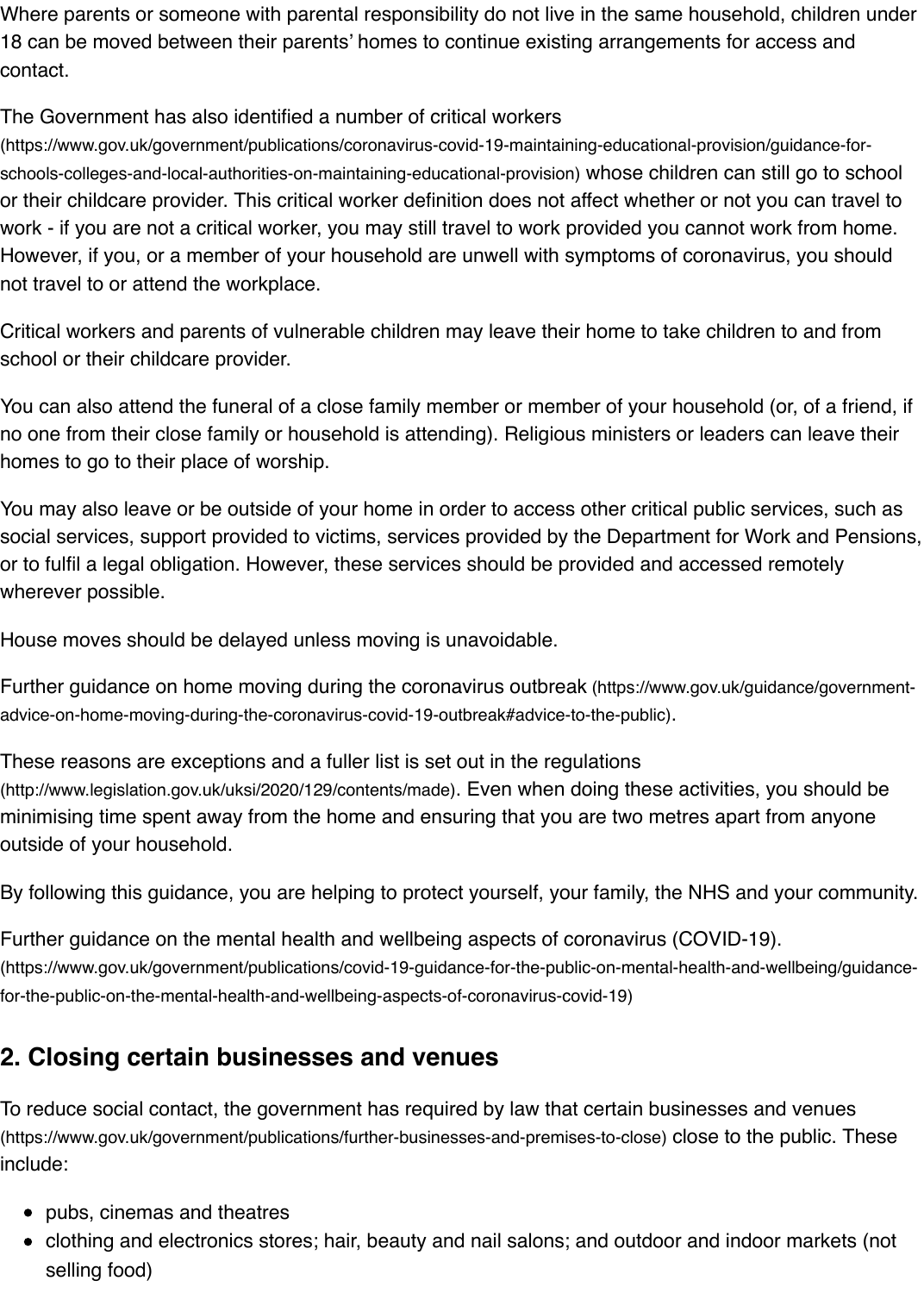However, if you, or a member of your household are unwell with symptoms of coronavirus, yout not travel to or attend the workplace.

Critical workers and parents of vulnerable children may leave their home to take children to a school or their childcare provider.

You can also attend the funeral of a close family member or member of your household (or, of no one from their close family or household is attending). Religious ministers or leaders can l homes to go to their place of worship.

You may also leave or be outside of your home in order to access other critical public service social services, support provided to victims, services provided by the Department for Work and or to fulfil a legal obligation. However, these services should be provided and accessed remo wherever possible.

House moves should be delayed unless moving is unavoidable.

Further guidance on home moving during the coronavirus outbreak (https://www.gov.uk/guidance advice-on-home-moving-during-the-coronavirus-covid-19-outbreak#advice-to-the-public).

These reasons are exceptions and a fuller list is set out in the regulations (http://www.legislation.gov.uk/uksi/2020/129/contents/made). Even when doing these activities, you s minimising time spent away from the home and ensuring that you are two metres apart from outside of your household.

By following this guidance, you are helping to protect yourself, your family, the NHS and your

[Further guidance on the mental health and wellbeing aspects of coronavirus \(COVID-19\).](https://www.gov.uk/guidance/government-advice-on-home-moving-during-the-coronavirus-covid-19-outbreak#advice-to-the-public) (https://www.gov.uk/government/publications/covid-19-guidance-for-the-public-on-mental-health-and-wellbe [for-the-public-on-the-mental-health-and-wellbeing-aspects-of-coronavirus-covid-19\)](http://www.legislation.gov.uk/uksi/2020/129/contents/made)

#### **2. Closing certain businesses and venues**

To reduce social contact, the government has required by law that certain businesses and ve (https://www.gov.uk/government/publications/further-businesses-and-premises-to-close) close to the public. include:

- pubs, cinemas and theatres
- [clothing and electronics stores; hair, beauty and nail salons; and outdoor and indoor markets \(not](https://www.gov.uk/government/publications/covid-19-guidance-for-the-public-on-mental-health-and-wellbeing/guidance-for-the-public-on-the-mental-health-and-wellbeing-aspects-of-coronavirus-covid-19) selling food)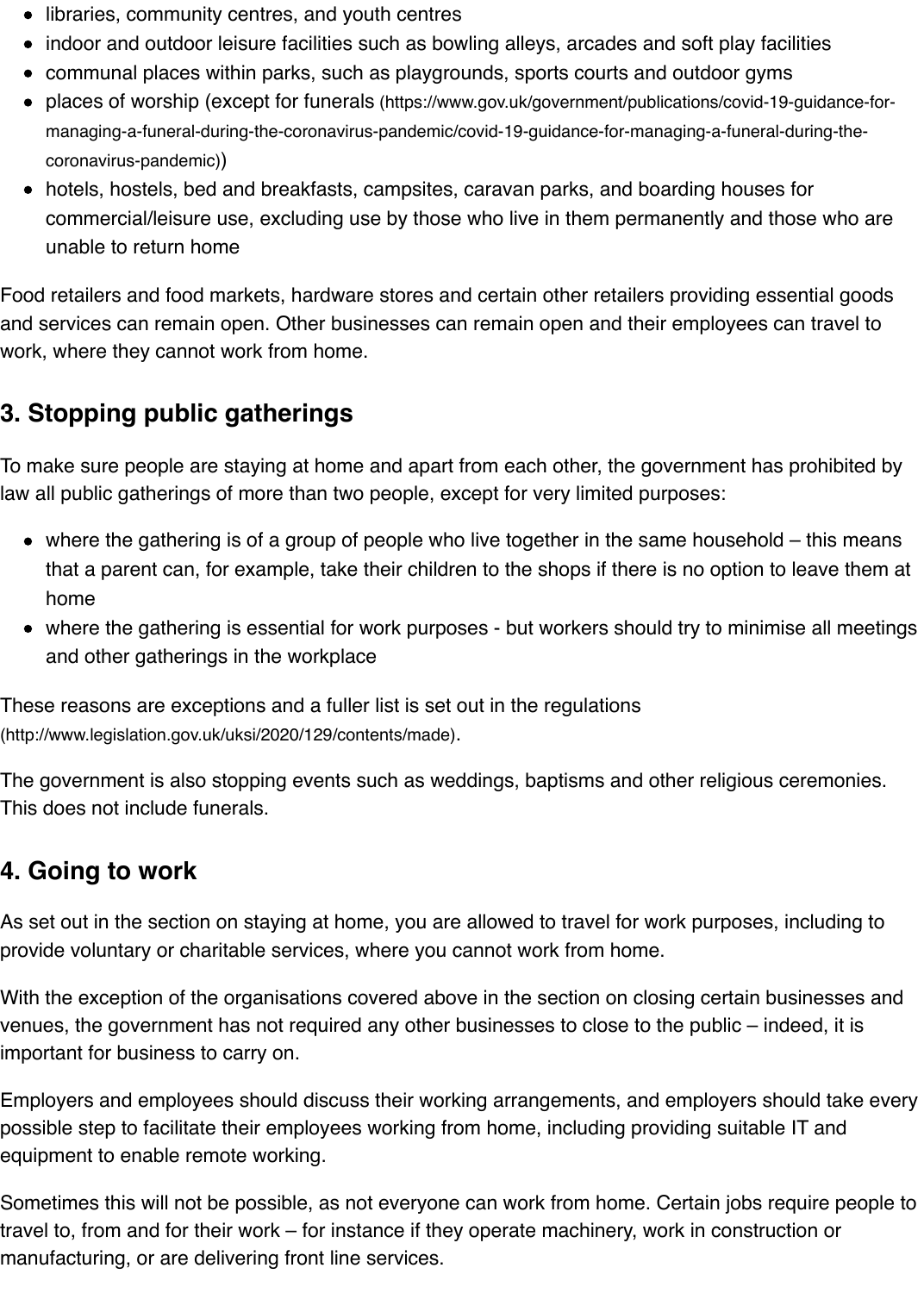unable to return home

Food retailers and food markets, hardware stores and certain other retailers providing essen and services can remain open. Other businesses can remain open and their employees can work[, where they cannot work from home.](https://www.gov.uk/government/publications/covid-19-guidance-for-managing-a-funeral-during-the-coronavirus-pandemic/covid-19-guidance-for-managing-a-funeral-during-the-coronavirus-pandemic)

#### **3. Stopping public gatherings**

To make sure people are staying at home and apart from each other, the government has pro law all public gatherings of more than two people, except for very limited purposes:

- $\bullet$  where the gathering is of a group of people who live together in the same household  $-1$ that a parent can, for example, take their children to the shops if there is no option to lead home
- where the gathering is essential for work purposes but workers should try to minimise and other gatherings in the workplace

These reasons are exceptions and a fuller list is set out in the regulations (http://www.legislation.gov.uk/uksi/2020/129/contents/made).

The government is also stopping events such as weddings, baptisms and other religious cere This does not include funerals.

#### **4. Going to work**

As set out in the section on staying at home, you are allowed to travel for work purposes, inc [provide voluntary or charitable services, where you cannot work from hom](http://www.legislation.gov.uk/uksi/2020/129/contents/made)e.

With the exception of the organisations covered above in the section on closing certain busine venues, the government has not required any other businesses to close to the public – indee important for business to carry on.

Employers and employees should discuss their working arrangements, and employers shoul possible step to facilitate their employees working from home, including providing suitable IT equipment to enable remote working.

Sometimes this will not be possible, as not everyone can work from home. Certain jobs requi travel to, from and for their work – for instance if they operate machinery, work in construction manufacturing, or are delivering front line services.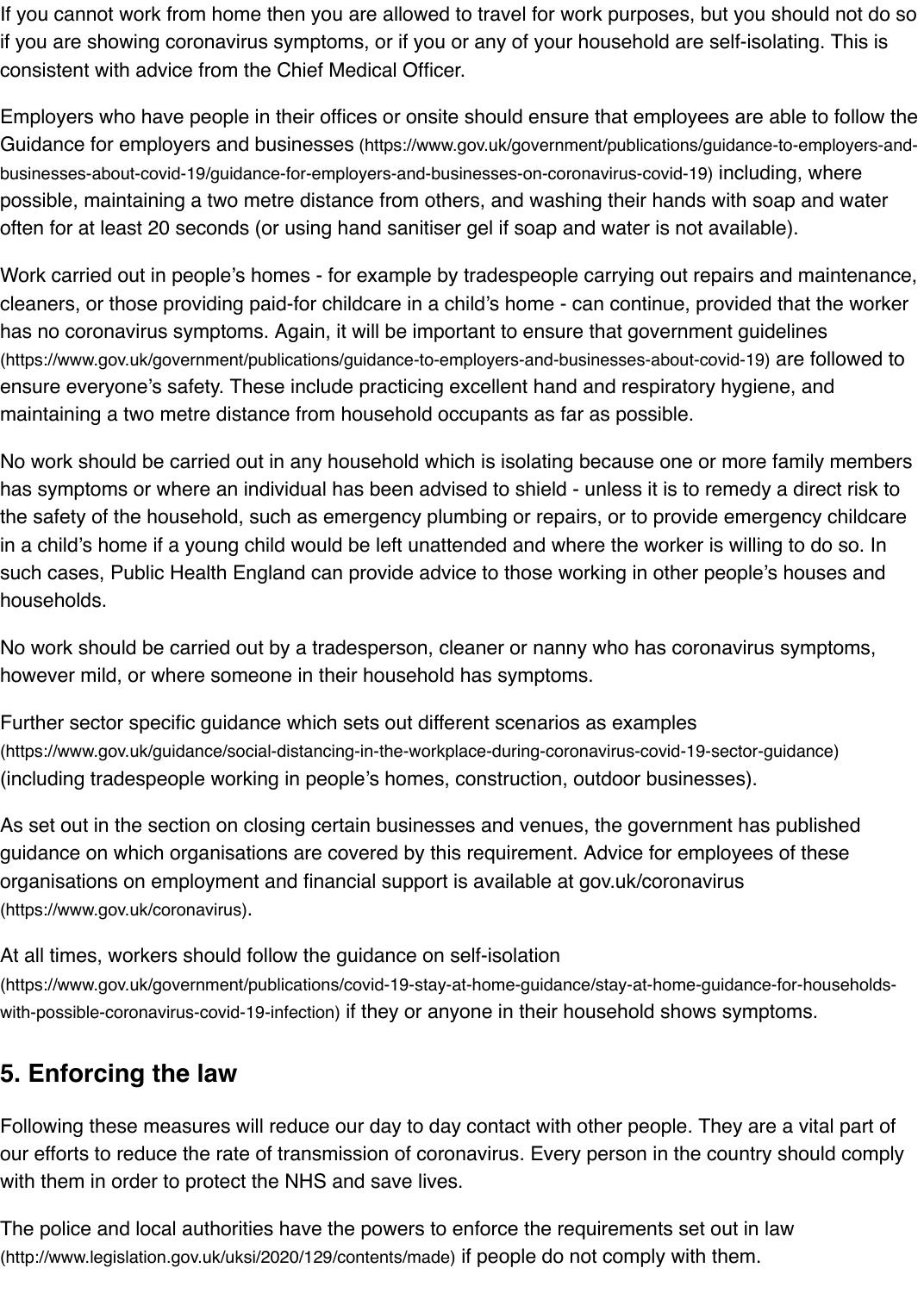Work carried out in people's homes - for example by tradespeople carrying out repairs and m cleaners, or those providing paid-for childcare in a child's home - can continue, provided that has no coronavirus symptoms. Again, it will be important to ensure that government guideline (https://www.gov.uk/government/publications/guidance-to-employers-and-businesses-about-covid-19) are [ensure everyone's safety. These include practicing excellent hand and respiratory hygiene, and](https://www.gov.uk/government/publications/guidance-to-employers-and-businesses-about-covid-19/guidance-for-employers-and-businesses-on-coronavirus-covid-19) maintaining a two metre distance from household occupants as far as possible.

No work should be carried out in any household which is isolating because one or more fami has symptoms or where an individual has been advised to shield - unless it is to remedy a di the safety of the household, such as emergency plumbing or repairs, or to provide emergenc in a child's home if a young child would be left unattended and where the worker is willing to. such cases, Public Health England can provide advice to those working in other people's hous households.

No work should be carried out by a tradesperson, cleaner or nanny who has coronavirus syn however mild, or where someone in their household has symptoms.

Further sector specific guidance which sets out different scenarios as examples (https://www.gov.uk/guidance/social-distancing-in-the-workplace-during-coronavirus-covid-19-sector-guidar (including tradespeople working in people's homes, construction, outdoor businesses).

As set out in the section on closing certain businesses and venues, the government has pub guidance on which organisations are covered by this requirement. Advice for employees of tl organisations on employment and financial support is available at gov.uk/coronavirus (https://www.gov.uk/coronavirus).

At all times, workers should follow the guidance on self-isolation (https://www.gov.uk/government/publications/covid-19-stay-at-home-guidance/stay-at-home-guidance-for-h with-possible-coronavirus-covid-19-infection) if they or anyone in their household shows symptoms

#### **5. Enforcing the law**

[Following these measures will reduce our day to day contact with other people. They](https://www.gov.uk/coronavirus) are a v our efforts to reduce the rate of transmission of coronavirus. Every person in the country sho with them in order to protect the NHS and save lives.

[The police and local authorities have the powers to enforce the requirements set out in law](https://www.gov.uk/government/publications/covid-19-stay-at-home-guidance/stay-at-home-guidance-for-households-with-possible-coronavirus-covid-19-infection) (http://www.legislation.gov.uk/uksi/2020/129/contents/made) if people do not comply with them.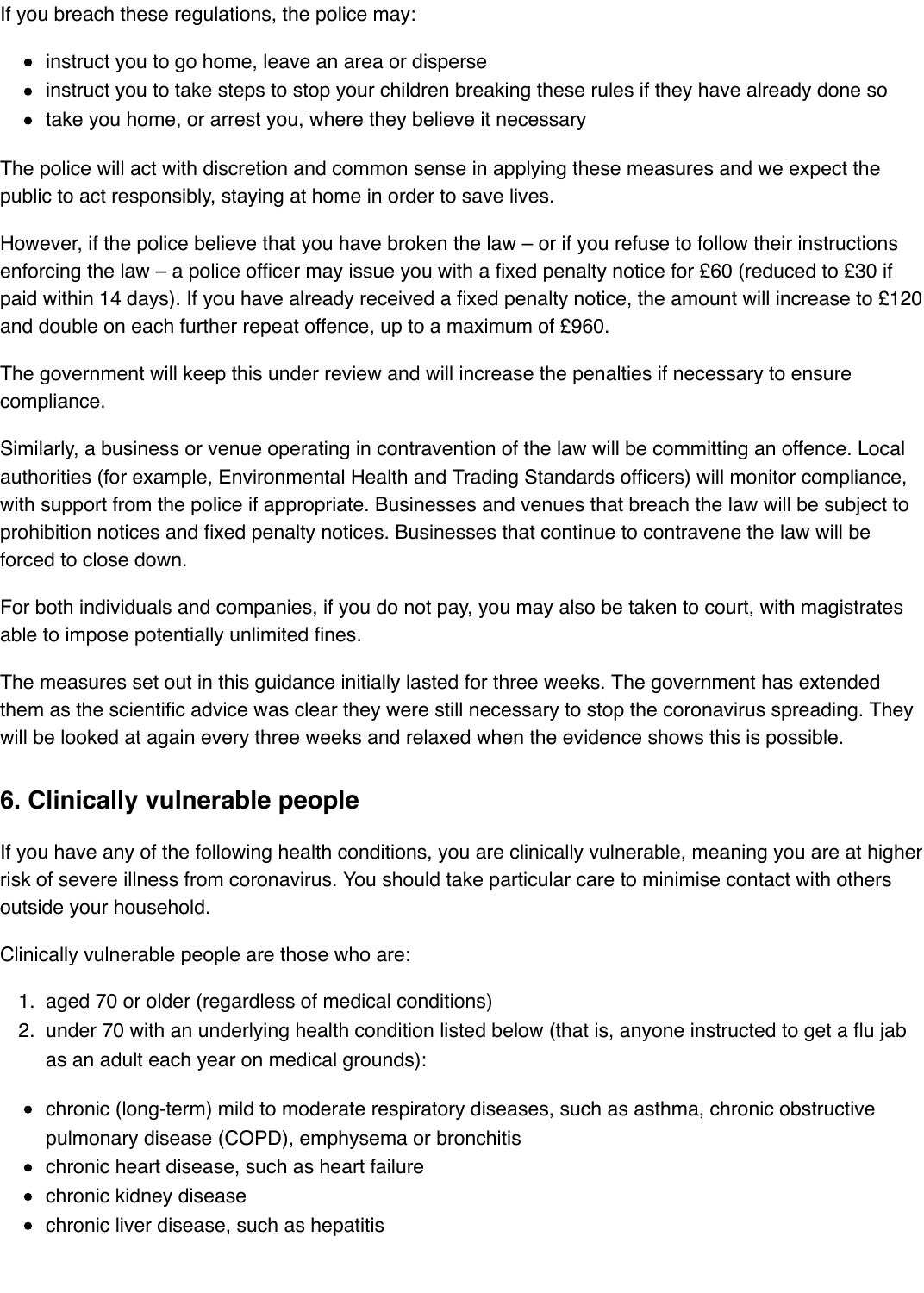If you breach these regulations, the police may:

- instruct you to go home, leave an area or disperse
- instruct you to take steps to stop your children breaking these rules if they have already done so
- take you home, or arrest you, where they believe it necessary

The police will act with discretion and common sense in applying these measures and we expect the public to act responsibly, staying at home in order to save lives.

However, if the police believe that you have broken the law – or if you refuse to follow their instructions enforcing the law – a police officer may issue you with a fixed penalty notice for £60 (reduced to £30 if paid within 14 days). If you have already received a fixed penalty notice, the amount will increase to £120 and double on each further repeat offence, up to a maximum of £960.

The government will keep this under review and will increase the penalties if necessary to ensure compliance.

Similarly, a business or venue operating in contravention of the law will be committing an offence. Local authorities (for example, Environmental Health and Trading Standards officers) will monitor compliance, with support from the police if appropriate. Businesses and venues that breach the law will be subject to prohibition notices and fixed penalty notices. Businesses that continue to contravene the law will be forced to close down.

For both individuals and companies, if you do not pay, you may also be taken to court, with magistrates able to impose potentially unlimited fines.

The measures set out in this guidance initially lasted for three weeks. The government has extended them as the scientific advice was clear they were still necessary to stop the coronavirus spreading. They will be looked at again every three weeks and relaxed when the evidence shows this is possible.

## <span id="page-6-0"></span>**6. Clinically vulnerable people**

If you have any of the following health conditions, you are clinically vulnerable, meaning you are at higher risk of severe illness from coronavirus. You should take particular care to minimise contact with others outside your household.

Clinically vulnerable people are those who are:

- 1. aged 70 or older (regardless of medical conditions)
- 2. under 70 with an underlying health condition listed below (that is, anyone instructed to get a flu jab as an adult each year on medical grounds):
- chronic (long-term) mild to moderate respiratory diseases, such as asthma, chronic obstructive pulmonary disease (COPD), emphysema or bronchitis
- chronic heart disease, such as heart failure
- chronic kidney disease
- chronic liver disease, such as hepatitis